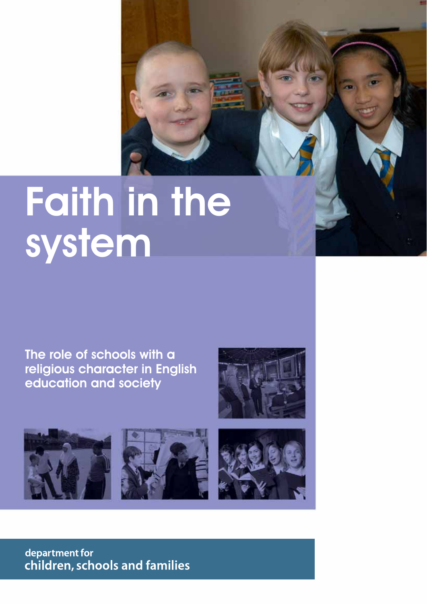# Faith in the system

The role of schools with a religious character in English education and society









department for children, schools and families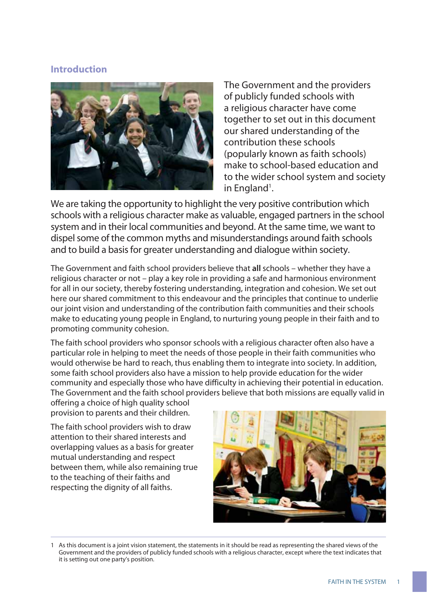## **Introduction**



The Government and the providers of publicly funded schools with a religious character have come together to set out in this document our shared understanding of the contribution these schools (popularly known as faith schools) make to school-based education and to the wider school system and society in England<sup>1</sup>.

We are taking the opportunity to highlight the very positive contribution which schools with a religious character make as valuable, engaged partners in the school system and in their local communities and beyond. At the same time, we want to dispel some of the common myths and misunderstandings around faith schools and to build a basis for greater understanding and dialogue within society.

The Government and faith school providers believe that **all** schools – whether they have a religious character or not – play a key role in providing a safe and harmonious environment for all in our society, thereby fostering understanding, integration and cohesion. We set out here our shared commitment to this endeavour and the principles that continue to underlie our joint vision and understanding of the contribution faith communities and their schools make to educating young people in England, to nurturing young people in their faith and to promoting community cohesion.

The faith school providers who sponsor schools with a religious character often also have a particular role in helping to meet the needs of those people in their faith communities who would otherwise be hard to reach, thus enabling them to integrate into society. In addition, some faith school providers also have a mission to help provide education for the wider community and especially those who have difficulty in achieving their potential in education. The Government and the faith school providers believe that both missions are equally valid in

offering a choice of high quality school provision to parents and their children.

The faith school providers wish to draw attention to their shared interests and overlapping values as a basis for greater mutual understanding and respect between them, while also remaining true to the teaching of their faiths and respecting the dignity of all faiths.



1 As this document is a joint vision statement, the statements in it should be read as representing the shared views of the Government and the providers of publicly funded schools with a religious character, except where the text indicates that it is setting out one party's position.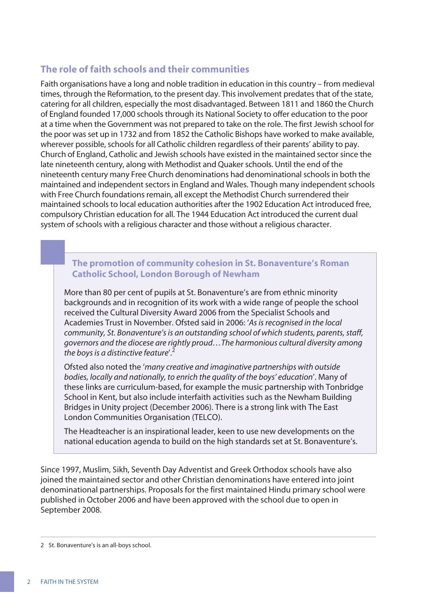## **The role of faith schools and their communities**

Faith organisations have a long and noble tradition in education in this country – from medieval times, through the Reformation, to the present day. This involvement predates that of the state, catering for all children, especially the most disadvantaged. Between 1811 and 1860 the Church of England founded 17,000 schools through its National Society to offer education to the poor at a time when the Government was not prepared to take on the role. The first Jewish school for the poor was set up in 1732 and from 1852 the Catholic Bishops have worked to make available, wherever possible, schools for all Catholic children regardless of their parents' ability to pay. Church of England, Catholic and Jewish schools have existed in the maintained sector since the late nineteenth century, along with Methodist and Quaker schools. Until the end of the nineteenth century many Free Church denominations had denominational schools in both the maintained and independent sectors in England and Wales. Though many independent schools with Free Church foundations remain, all except the Methodist Church surrendered their maintained schools to local education authorities after the 1902 Education Act introduced free, compulsory Christian education for all. The 1944 Education Act introduced the current dual system of schools with a religious character and those without a religious character.

#### **The promotion of community cohesion in St. Bonaventure's Roman Catholic School, London Borough of Newham**

More than 80 per cent of pupils at St. Bonaventure's are from ethnic minority backgrounds and in recognition of its work with a wide range of people the school received the Cultural Diversity Award 2006 from the Specialist Schools and Academies Trust in November. Ofsted said in 2006: '*As is recognised in the local community, St. Bonaventure's is an outstanding school of which students, parents, staff, governors and the diocese are rightly proud…The harmonious cultural diversity among the boys is a distinctive feature*'.2

Ofsted also noted the '*many creative and imaginative partnerships with outside bodies, locally and nationally, to enrich the quality of the boys' education*'. Many of these links are curriculum-based, for example the music partnership with Tonbridge School in Kent, but also include interfaith activities such as the Newham Building Bridges in Unity project (December 2006). There is a strong link with The East London Communities Organisation (TELCO).

The Headteacher is an inspirational leader, keen to use new developments on the national education agenda to build on the high standards set at St. Bonaventure's.

Since 1997, Muslim, Sikh, Seventh Day Adventist and Greek Orthodox schools have also joined the maintained sector and other Christian denominations have entered into joint denominational partnerships. Proposals for the first maintained Hindu primary school were published in October 2006 and have been approved with the school due to open in September 2008.

<sup>2</sup> St. Bonaventure's is an all-boys school.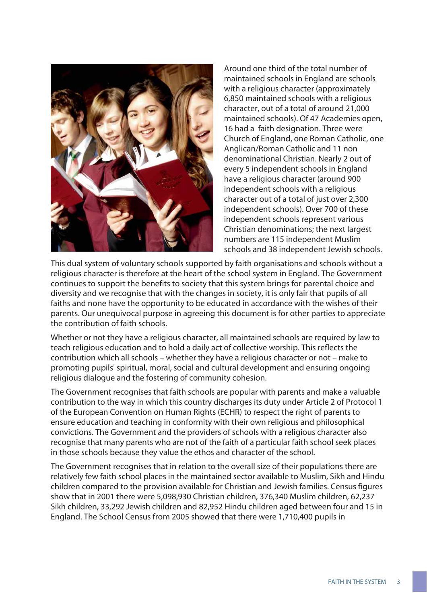

Around one third of the total number of maintained schools in England are schools with a religious character (approximately 6,850 maintained schools with a religious character, out of a total of around 21,000 maintained schools). Of 47 Academies open, 16 had a faith designation. Three were Church of England, one Roman Catholic, one Anglican/Roman Catholic and 11 non denominational Christian. Nearly 2 out of every 5 independent schools in England have a religious character (around 900 independent schools with a religious character out of a total of just over 2,300 independent schools). Over 700 of these independent schools represent various Christian denominations; the next largest numbers are 115 independent Muslim schools and 38 independent Jewish schools.

This dual system of voluntary schools supported by faith organisations and schools without a religious character is therefore at the heart of the school system in England. The Government continues to support the benefits to society that this system brings for parental choice and diversity and we recognise that with the changes in society, it is only fair that pupils of all faiths and none have the opportunity to be educated in accordance with the wishes of their parents. Our unequivocal purpose in agreeing this document is for other parties to appreciate the contribution of faith schools.

Whether or not they have a religious character, all maintained schools are required by law to teach religious education and to hold a daily act of collective worship. This reflects the contribution which all schools – whether they have a religious character or not – make to promoting pupils' spiritual, moral, social and cultural development and ensuring ongoing religious dialogue and the fostering of community cohesion.

The Government recognises that faith schools are popular with parents and make a valuable contribution to the way in which this country discharges its duty under Article 2 of Protocol 1 of the European Convention on Human Rights (ECHR) to respect the right of parents to ensure education and teaching in conformity with their own religious and philosophical convictions. The Government and the providers of schools with a religious character also recognise that many parents who are not of the faith of a particular faith school seek places in those schools because they value the ethos and character of the school.

The Government recognises that in relation to the overall size of their populations there are relatively few faith school places in the maintained sector available to Muslim, Sikh and Hindu children compared to the provision available for Christian and Jewish families. Census figures show that in 2001 there were 5,098,930 Christian children, 376,340 Muslim children, 62,237 Sikh children, 33,292 Jewish children and 82,952 Hindu children aged between four and 15 in England. The School Census from 2005 showed that there were 1,710,400 pupils in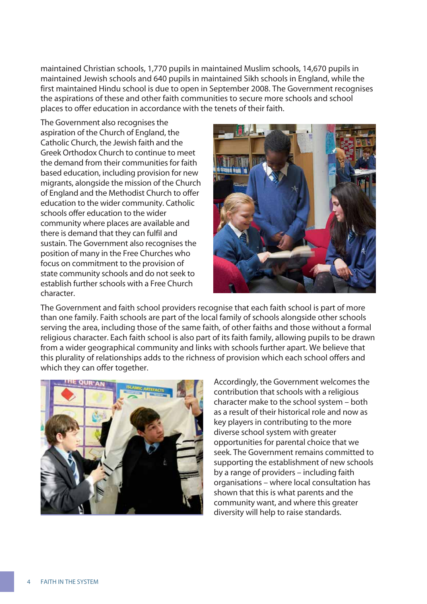maintained Christian schools, 1,770 pupils in maintained Muslim schools, 14,670 pupils in maintained Jewish schools and 640 pupils in maintained Sikh schools in England, while the first maintained Hindu school is due to open in September 2008. The Government recognises the aspirations of these and other faith communities to secure more schools and school places to offer education in accordance with the tenets of their faith.

The Government also recognises the aspiration of the Church of England, the Catholic Church, the Jewish faith and the Greek Orthodox Church to continue to meet the demand from their communities for faith based education, including provision for new migrants, alongside the mission of the Church of England and the Methodist Church to offer education to the wider community. Catholic schools offer education to the wider community where places are available and there is demand that they can fulfil and sustain. The Government also recognises the position of many in the Free Churches who focus on commitment to the provision of state community schools and do not seek to establish further schools with a Free Church character.



The Government and faith school providers recognise that each faith school is part of more than one family. Faith schools are part of the local family of schools alongside other schools serving the area, including those of the same faith, of other faiths and those without a formal religious character. Each faith school is also part of its faith family, allowing pupils to be drawn from a wider geographical community and links with schools further apart. We believe that this plurality of relationships adds to the richness of provision which each school offers and which they can offer together.



Accordingly, the Government welcomes the contribution that schools with a religious character make to the school system – both as a result of their historical role and now as key players in contributing to the more diverse school system with greater opportunities for parental choice that we seek. The Government remains committed to supporting the establishment of new schools by a range of providers – including faith organisations – where local consultation has shown that this is what parents and the community want, and where this greater diversity will help to raise standards.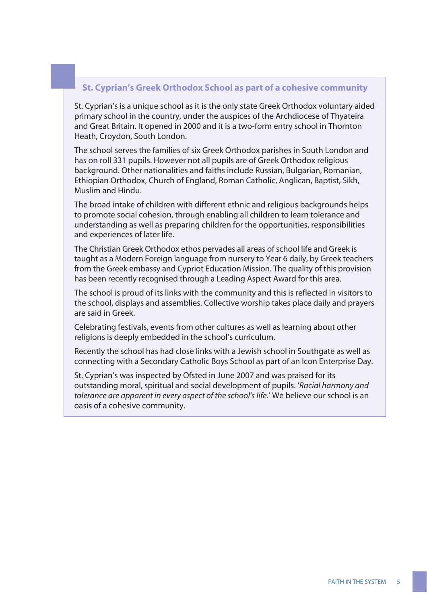## **St. Cyprian's Greek Orthodox School as part of a cohesive community**

St. Cyprian's is a unique school as it is the only state Greek Orthodox voluntary aided primary school in the country, under the auspices of the Archdiocese of Thyateira and Great Britain. It opened in 2000 and it is a two-form entry school in Thornton Heath, Croydon, South London.

The school serves the families of six Greek Orthodox parishes in South London and has on roll 331 pupils. However not all pupils are of Greek Orthodox religious background. Other nationalities and faiths include Russian, Bulgarian, Romanian, Ethiopian Orthodox, Church of England, Roman Catholic, Anglican, Baptist, Sikh, Muslim and Hindu.

The broad intake of children with different ethnic and religious backgrounds helps to promote social cohesion, through enabling all children to learn tolerance and understanding as well as preparing children for the opportunities, responsibilities and experiences of later life.

The Christian Greek Orthodox ethos pervades all areas of school life and Greek is taught as a Modern Foreign language from nursery to Year 6 daily, by Greek teachers from the Greek embassy and Cypriot Education Mission. The quality of this provision has been recently recognised through a Leading Aspect Award for this area.

The school is proud of its links with the community and this is reflected in visitors to the school, displays and assemblies. Collective worship takes place daily and prayers are said in Greek.

Celebrating festivals, events from other cultures as well as learning about other religions is deeply embedded in the school's curriculum.

Recently the school has had close links with a Jewish school in Southgate as well as connecting with a Secondary Catholic Boys School as part of an Icon Enterprise Day.

St. Cyprian's was inspected by Ofsted in June 2007 and was praised for its outstanding moral, spiritual and social development of pupils. '*Racial harmony and tolerance are apparent in every aspect of the school's life*.' We believe our school is an oasis of a cohesive community.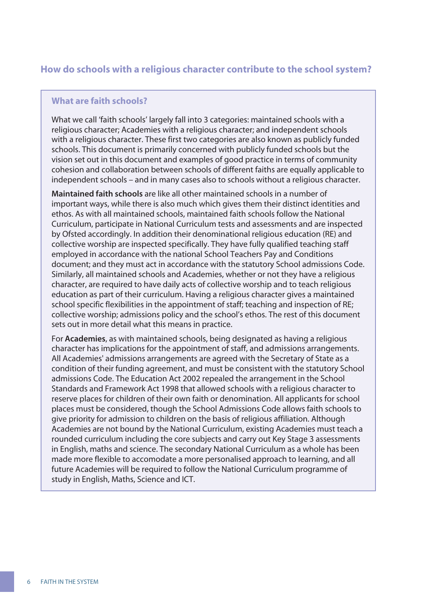## **How do schools with a religious character contribute to the school system?**

#### **What are faith schools?**

What we call 'faith schools' largely fall into 3 categories: maintained schools with a religious character; Academies with a religious character; and independent schools with a religious character. These first two categories are also known as publicly funded schools. This document is primarily concerned with publicly funded schools but the vision set out in this document and examples of good practice in terms of community cohesion and collaboration between schools of different faiths are equally applicable to independent schools – and in many cases also to schools without a religious character.

**Maintained faith schools** are like all other maintained schools in a number of important ways, while there is also much which gives them their distinct identities and ethos. As with all maintained schools, maintained faith schools follow the National Curriculum, participate in National Curriculum tests and assessments and are inspected by Ofsted accordingly. In addition their denominational religious education (RE) and collective worship are inspected specifically. They have fully qualified teaching staff employed in accordance with the national School Teachers Pay and Conditions document; and they must act in accordance with the statutory School admissions Code. Similarly, all maintained schools and Academies, whether or not they have a religious character, are required to have daily acts of collective worship and to teach religious education as part of their curriculum. Having a religious character gives a maintained school specific flexibilities in the appointment of staff; teaching and inspection of RE; collective worship; admissions policy and the school's ethos. The rest of this document sets out in more detail what this means in practice.

For **Academies**, as with maintained schools, being designated as having a religious character has implications for the appointment of staff, and admissions arrangements. All Academies' admissions arrangements are agreed with the Secretary of State as a condition of their funding agreement, and must be consistent with the statutory School admissions Code. The Education Act 2002 repealed the arrangement in the School Standards and Framework Act 1998 that allowed schools with a religious character to reserve places for children of their own faith or denomination. All applicants for school places must be considered, though the School Admissions Code allows faith schools to give priority for admission to children on the basis of religious affiliation. Although Academies are not bound by the National Curriculum, existing Academies must teach a rounded curriculum including the core subjects and carry out Key Stage 3 assessments in English, maths and science. The secondary National Curriculum as a whole has been made more flexible to accomodate a more personalised approach to learning, and all future Academies will be required to follow the National Curriculum programme of study in English, Maths, Science and ICT.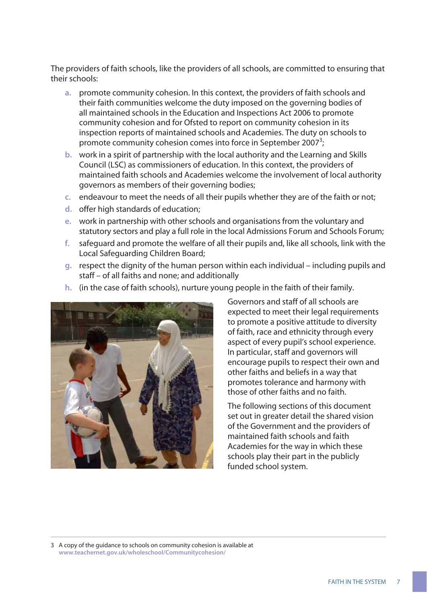The providers of faith schools, like the providers of all schools, are committed to ensuring that their schools:

- **a.** promote community cohesion. In this context, the providers of faith schools and their faith communities welcome the duty imposed on the governing bodies of all maintained schools in the Education and Inspections Act 2006 to promote community cohesion and for Ofsted to report on community cohesion in its inspection reports of maintained schools and Academies. The duty on schools to promote community cohesion comes into force in September 2007<sup>3</sup>;
- **b.** work in a spirit of partnership with the local authority and the Learning and Skills Council (LSC) as commissioners of education. In this context, the providers of maintained faith schools and Academies welcome the involvement of local authority governors as members of their governing bodies;
- **c.** endeavour to meet the needs of all their pupils whether they are of the faith or not;
- **d.** offer high standards of education;
- **e.** work in partnership with other schools and organisations from the voluntary and statutory sectors and play a full role in the local Admissions Forum and Schools Forum;
- **f.** safeguard and promote the welfare of all their pupils and, like all schools, link with the Local Safeguarding Children Board;
- **g.** respect the dignity of the human person within each individual including pupils and staff – of all faiths and none; and additionally
- **h.** (in the case of faith schools), nurture young people in the faith of their family.



Governors and staff of all schools are expected to meet their legal requirements to promote a positive attitude to diversity of faith, race and ethnicity through every aspect of every pupil's school experience. In particular, staff and governors will encourage pupils to respect their own and other faiths and beliefs in a way that promotes tolerance and harmony with those of other faiths and no faith.

The following sections of this document set out in greater detail the shared vision of the Government and the providers of maintained faith schools and faith Academies for the way in which these schools play their part in the publicly funded school system.

3 A copy of the guidance to schools on community cohesion is available at **www.teachernet.gov.uk/wholeschool/Communitycohesion/**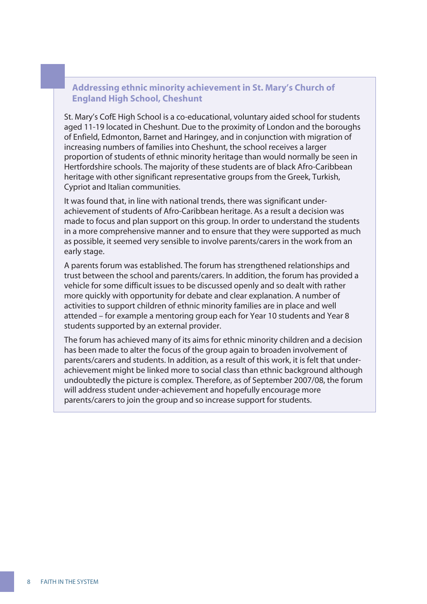#### **Addressing ethnic minority achievement in St. Mary's Church of England High School, Cheshunt**

St. Mary's CofE High School is a co-educational, voluntary aided school for students aged 11-19 located in Cheshunt. Due to the proximity of London and the boroughs of Enfield, Edmonton, Barnet and Haringey, and in conjunction with migration of increasing numbers of families into Cheshunt, the school receives a larger proportion of students of ethnic minority heritage than would normally be seen in Hertfordshire schools. The majority of these students are of black Afro-Caribbean heritage with other significant representative groups from the Greek, Turkish, Cypriot and Italian communities.

It was found that, in line with national trends, there was significant underachievement of students of Afro-Caribbean heritage. As a result a decision was made to focus and plan support on this group. In order to understand the students in a more comprehensive manner and to ensure that they were supported as much as possible, it seemed very sensible to involve parents/carers in the work from an early stage.

A parents forum was established. The forum has strengthened relationships and trust between the school and parents/carers. In addition, the forum has provided a vehicle for some difficult issues to be discussed openly and so dealt with rather more quickly with opportunity for debate and clear explanation. A number of activities to support children of ethnic minority families are in place and well attended – for example a mentoring group each for Year 10 students and Year 8 students supported by an external provider.

The forum has achieved many of its aims for ethnic minority children and a decision has been made to alter the focus of the group again to broaden involvement of parents/carers and students. In addition, as a result of this work, it is felt that underachievement might be linked more to social class than ethnic background although undoubtedly the picture is complex. Therefore, as of September 2007/08, the forum will address student under-achievement and hopefully encourage more parents/carers to join the group and so increase support for students.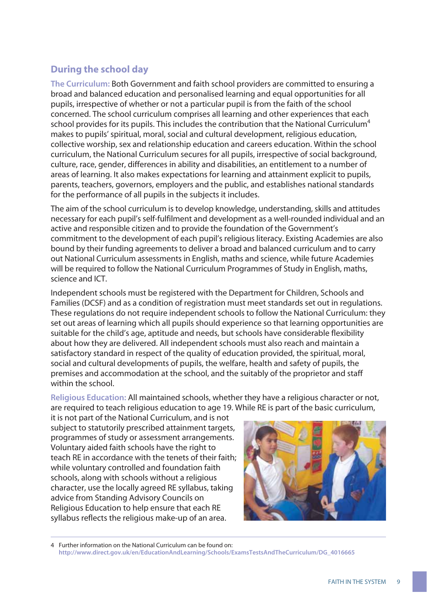# **During the school day**

**The Curriculum:** Both Government and faith school providers are committed to ensuring a broad and balanced education and personalised learning and equal opportunities for all pupils, irrespective of whether or not a particular pupil is from the faith of the school concerned. The school curriculum comprises all learning and other experiences that each school provides for its pupils. This includes the contribution that the National Curriculum<sup>4</sup> makes to pupils' spiritual, moral, social and cultural development, religious education, collective worship, sex and relationship education and careers education. Within the school curriculum, the National Curriculum secures for all pupils, irrespective of social background, culture, race, gender, differences in ability and disabilities, an entitlement to a number of areas of learning. It also makes expectations for learning and attainment explicit to pupils, parents, teachers, governors, employers and the public, and establishes national standards for the performance of all pupils in the subjects it includes.

The aim of the school curriculum is to develop knowledge, understanding, skills and attitudes necessary for each pupil's self-fulfilment and development as a well-rounded individual and an active and responsible citizen and to provide the foundation of the Government's commitment to the development of each pupil's religious literacy. Existing Academies are also bound by their funding agreements to deliver a broad and balanced curriculum and to carry out National Curriculum assessments in English, maths and science, while future Academies will be required to follow the National Curriculum Programmes of Study in English, maths, science and ICT.

Independent schools must be registered with the Department for Children, Schools and Families (DCSF) and as a condition of registration must meet standards set out in regulations. These regulations do not require independent schools to follow the National Curriculum: they set out areas of learning which all pupils should experience so that learning opportunities are suitable for the child's age, aptitude and needs, but schools have considerable flexibility about how they are delivered. All independent schools must also reach and maintain a satisfactory standard in respect of the quality of education provided, the spiritual, moral, social and cultural developments of pupils, the welfare, health and safety of pupils, the premises and accommodation at the school, and the suitably of the proprietor and staff within the school.

**Religious Education:** All maintained schools, whether they have a religious character or not, are required to teach religious education to age 19. While RE is part of the basic curriculum,

it is not part of the National Curriculum, and is not subject to statutorily prescribed attainment targets, programmes of study or assessment arrangements. Voluntary aided faith schools have the right to teach RE in accordance with the tenets of their faith; while voluntary controlled and foundation faith schools, along with schools without a religious character, use the locally agreed RE syllabus, taking advice from Standing Advisory Councils on Religious Education to help ensure that each RE syllabus reflects the religious make-up of an area.



4 Further information on the National Curriculum can be found on: **http://www.direct.gov.uk/en/EducationAndLearning/Schools/ExamsTestsAndTheCurriculum/DG\_4016665**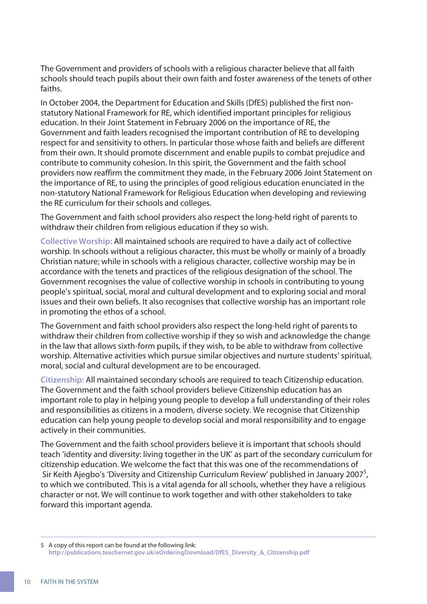The Government and providers of schools with a religious character believe that all faith schools should teach pupils about their own faith and foster awareness of the tenets of other faiths.

In October 2004, the Department for Education and Skills (DfES) published the first nonstatutory National Framework for RE, which identified important principles for religious education. In their Joint Statement in February 2006 on the importance of RE, the Government and faith leaders recognised the important contribution of RE to developing respect for and sensitivity to others. In particular those whose faith and beliefs are different from their own. It should promote discernment and enable pupils to combat prejudice and contribute to community cohesion. In this spirit, the Government and the faith school providers now reaffirm the commitment they made, in the February 2006 Joint Statement on the importance of RE, to using the principles of good religious education enunciated in the non-statutory National Framework for Religious Education when developing and reviewing the RE curriculum for their schools and colleges.

The Government and faith school providers also respect the long-held right of parents to withdraw their children from religious education if they so wish.

**Collective Worship:** All maintained schools are required to have a daily act of collective worship. In schools without a religious character, this must be wholly or mainly of a broadly Christian nature; while in schools with a religious character, collective worship may be in accordance with the tenets and practices of the religious designation of the school. The Government recognises the value of collective worship in schools in contributing to young people's spiritual, social, moral and cultural development and to exploring social and moral issues and their own beliefs. It also recognises that collective worship has an important role in promoting the ethos of a school.

The Government and faith school providers also respect the long-held right of parents to withdraw their children from collective worship if they so wish and acknowledge the change in the law that allows sixth-form pupils, if they wish, to be able to withdraw from collective worship. Alternative activities which pursue similar objectives and nurture students' spiritual, moral, social and cultural development are to be encouraged.

**Citizenship:** All maintained secondary schools are required to teach Citizenship education. The Government and the faith school providers believe Citizenship education has an important role to play in helping young people to develop a full understanding of their roles and responsibilities as citizens in a modern, diverse society. We recognise that Citizenship education can help young people to develop social and moral responsibility and to engage actively in their communities.

The Government and the faith school providers believe it is important that schools should teach 'identity and diversity: living together in the UK' as part of the secondary curriculum for citizenship education. We welcome the fact that this was one of the recommendations of Sir Keith Ajegbo's 'Diversity and Citizenship Curriculum Review' published in January 2007<sup>5</sup>, to which we contributed. This is a vital agenda for all schools, whether they have a religious character or not. We will continue to work together and with other stakeholders to take forward this important agenda.

<sup>5</sup> A copy of this report can be found at the following link: **http://publications.teachernet.gov.uk/eOrderingDownload/DfES\_Diversity\_&\_Citizenship.pdf**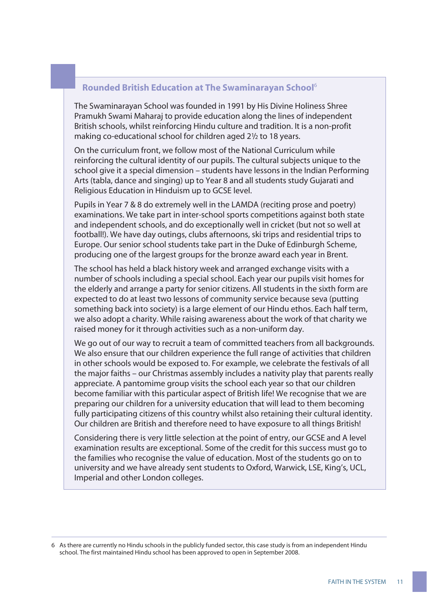### **Rounded British Education at The Swaminarayan School**<sup>6</sup>

The Swaminarayan School was founded in 1991 by His Divine Holiness Shree Pramukh Swami Maharaj to provide education along the lines of independent British schools, whilst reinforcing Hindu culture and tradition. It is a non-profit making co-educational school for children aged 21/2 to 18 years.

On the curriculum front, we follow most of the National Curriculum while reinforcing the cultural identity of our pupils. The cultural subjects unique to the school give it a special dimension – students have lessons in the Indian Performing Arts (tabla, dance and singing) up to Year 8 and all students study Gujarati and Religious Education in Hinduism up to GCSE level.

Pupils in Year 7 & 8 do extremely well in the LAMDA (reciting prose and poetry) examinations. We take part in inter-school sports competitions against both state and independent schools, and do exceptionally well in cricket (but not so well at football!). We have day outings, clubs afternoons, ski trips and residential trips to Europe. Our senior school students take part in the Duke of Edinburgh Scheme, producing one of the largest groups for the bronze award each year in Brent.

The school has held a black history week and arranged exchange visits with a number of schools including a special school. Each year our pupils visit homes for the elderly and arrange a party for senior citizens. All students in the sixth form are expected to do at least two lessons of community service because seva (putting something back into society) is a large element of our Hindu ethos. Each half term, we also adopt a charity. While raising awareness about the work of that charity we raised money for it through activities such as a non-uniform day.

We go out of our way to recruit a team of committed teachers from all backgrounds. We also ensure that our children experience the full range of activities that children in other schools would be exposed to. For example, we celebrate the festivals of all the major faiths – our Christmas assembly includes a nativity play that parents really appreciate. A pantomime group visits the school each year so that our children become familiar with this particular aspect of British life! We recognise that we are preparing our children for a university education that will lead to them becoming fully participating citizens of this country whilst also retaining their cultural identity. Our children are British and therefore need to have exposure to all things British!

Considering there is very little selection at the point of entry, our GCSE and A level examination results are exceptional. Some of the credit for this success must go to the families who recognise the value of education. Most of the students go on to university and we have already sent students to Oxford, Warwick, LSE, King's, UCL, Imperial and other London colleges.

<sup>6</sup> As there are currently no Hindu schools in the publicly funded sector, this case study is from an independent Hindu school. The first maintained Hindu school has been approved to open in September 2008.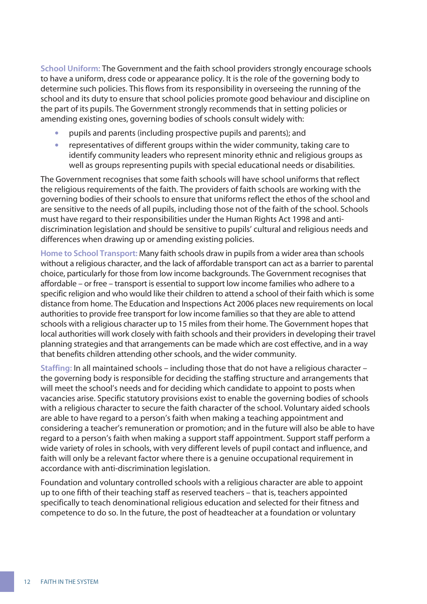**School Uniform:** The Government and the faith school providers strongly encourage schools to have a uniform, dress code or appearance policy. It is the role of the governing body to determine such policies. This flows from its responsibility in overseeing the running of the school and its duty to ensure that school policies promote good behaviour and discipline on the part of its pupils. The Government strongly recommends that in setting policies or amending existing ones, governing bodies of schools consult widely with:

- **•** pupils and parents (including prospective pupils and parents); and
- **•** representatives of different groups within the wider community, taking care to identify community leaders who represent minority ethnic and religious groups as well as groups representing pupils with special educational needs or disabilities.

The Government recognises that some faith schools will have school uniforms that reflect the religious requirements of the faith. The providers of faith schools are working with the governing bodies of their schools to ensure that uniforms reflect the ethos of the school and are sensitive to the needs of all pupils, including those not of the faith of the school. Schools must have regard to their responsibilities under the Human Rights Act 1998 and antidiscrimination legislation and should be sensitive to pupils' cultural and religious needs and differences when drawing up or amending existing policies.

**Home to School Transport:** Many faith schools draw in pupils from a wider area than schools without a religious character, and the lack of affordable transport can act as a barrier to parental choice, particularly for those from low income backgrounds. The Government recognises that affordable – or free – transport is essential to support low income families who adhere to a specific religion and who would like their children to attend a school of their faith which is some distance from home. The Education and Inspections Act 2006 places new requirements on local authorities to provide free transport for low income families so that they are able to attend schools with a religious character up to 15 miles from their home. The Government hopes that local authorities will work closely with faith schools and their providers in developing their travel planning strategies and that arrangements can be made which are cost effective, and in a way that benefits children attending other schools, and the wider community.

**Staffing:** In all maintained schools – including those that do not have a religious character – the governing body is responsible for deciding the staffing structure and arrangements that will meet the school's needs and for deciding which candidate to appoint to posts when vacancies arise. Specific statutory provisions exist to enable the governing bodies of schools with a religious character to secure the faith character of the school. Voluntary aided schools are able to have regard to a person's faith when making a teaching appointment and considering a teacher's remuneration or promotion; and in the future will also be able to have regard to a person's faith when making a support staff appointment. Support staff perform a wide variety of roles in schools, with very different levels of pupil contact and influence, and faith will only be a relevant factor where there is a genuine occupational requirement in accordance with anti-discrimination legislation.

Foundation and voluntary controlled schools with a religious character are able to appoint up to one fifth of their teaching staff as reserved teachers – that is, teachers appointed specifically to teach denominational religious education and selected for their fitness and competence to do so. In the future, the post of headteacher at a foundation or voluntary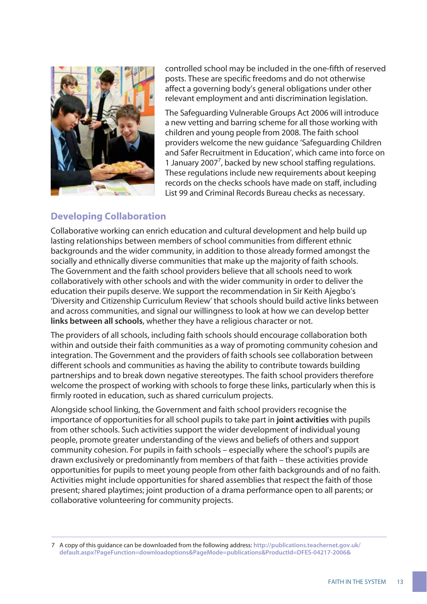

controlled school may be included in the one-fifth of reserved posts. These are specific freedoms and do not otherwise affect a governing body's general obligations under other relevant employment and anti discrimination legislation.

The Safeguarding Vulnerable Groups Act 2006 will introduce a new vetting and barring scheme for all those working with children and young people from 2008. The faith school providers welcome the new guidance 'Safeguarding Children and Safer Recruitment in Education', which came into force on 1 January 2007<sup>7</sup>, backed by new school staffing regulations. These regulations include new requirements about keeping records on the checks schools have made on staff, including List 99 and Criminal Records Bureau checks as necessary.

## **Developing Collaboration**

Collaborative working can enrich education and cultural development and help build up lasting relationships between members of school communities from different ethnic backgrounds and the wider community, in addition to those already formed amongst the socially and ethnically diverse communities that make up the majority of faith schools. The Government and the faith school providers believe that all schools need to work collaboratively with other schools and with the wider community in order to deliver the education their pupils deserve. We support the recommendation in Sir Keith Ajegbo's 'Diversity and Citizenship Curriculum Review' that schools should build active links between and across communities, and signal our willingness to look at how we can develop better **links between all schools**, whether they have a religious character or not.

The providers of all schools, including faith schools should encourage collaboration both within and outside their faith communities as a way of promoting community cohesion and integration. The Government and the providers of faith schools see collaboration between different schools and communities as having the ability to contribute towards building partnerships and to break down negative stereotypes. The faith school providers therefore welcome the prospect of working with schools to forge these links, particularly when this is firmly rooted in education, such as shared curriculum projects.

Alongside school linking, the Government and faith school providers recognise the importance of opportunities for all school pupils to take part in **joint activities** with pupils from other schools. Such activities support the wider development of individual young people, promote greater understanding of the views and beliefs of others and support community cohesion. For pupils in faith schools – especially where the school's pupils are drawn exclusively or predominantly from members of that faith – these activities provide opportunities for pupils to meet young people from other faith backgrounds and of no faith. Activities might include opportunities for shared assemblies that respect the faith of those present; shared playtimes; joint production of a drama performance open to all parents; or collaborative volunteering for community projects.

7 A copy of this guidance can be downloaded from the following address: **http://publications.teachernet.gov.uk/ default.aspx?PageFunction=downloadoptions&PageMode=publications&ProductId=DFES-04217-2006&**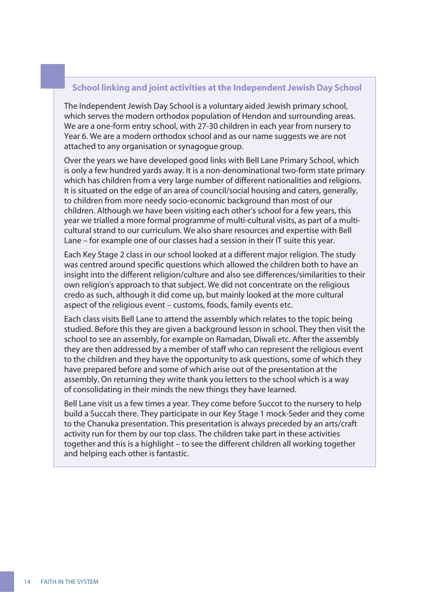### **School linking and joint activities at the Independent Jewish Day School**

The Independent Jewish Day School is a voluntary aided Jewish primary school, which serves the modern orthodox population of Hendon and surrounding areas. We are a one-form entry school, with 27-30 children in each year from nursery to Year 6. We are a modern orthodox school and as our name suggests we are not attached to any organisation or synagogue group.

Over the years we have developed good links with Bell Lane Primary School, which is only a few hundred yards away. It is a non-denominational two-form state primary which has children from a very large number of different nationalities and religions. It is situated on the edge of an area of council/social housing and caters, generally, to children from more needy socio-economic background than most of our children. Although we have been visiting each other's school for a few years, this year we trialled a more formal programme of multi-cultural visits, as part of a multicultural strand to our curriculum. We also share resources and expertise with Bell Lane – for example one of our classes had a session in their IT suite this year.

Each Key Stage 2 class in our school looked at a different major religion. The study was centred around specific questions which allowed the children both to have an insight into the different religion/culture and also see differences/similarities to their own religion's approach to that subject. We did not concentrate on the religious credo as such, although it did come up, but mainly looked at the more cultural aspect of the religious event – customs, foods, family events etc.

Each class visits Bell Lane to attend the assembly which relates to the topic being studied. Before this they are given a background lesson in school. They then visit the school to see an assembly, for example on Ramadan, Diwali etc. After the assembly they are then addressed by a member of staff who can represent the religious event to the children and they have the opportunity to ask questions, some of which they have prepared before and some of which arise out of the presentation at the assembly. On returning they write thank you letters to the school which is a way of consolidating in their minds the new things they have learned.

Bell Lane visit us a few times a year. They come before Succot to the nursery to help build a Succah there. They participate in our Key Stage 1 mock-Seder and they come to the Chanuka presentation. This presentation is always preceded by an arts/craft activity run for them by our top class. The children take part in these activities together and this is a highlight – to see the different children all working together and helping each other is fantastic.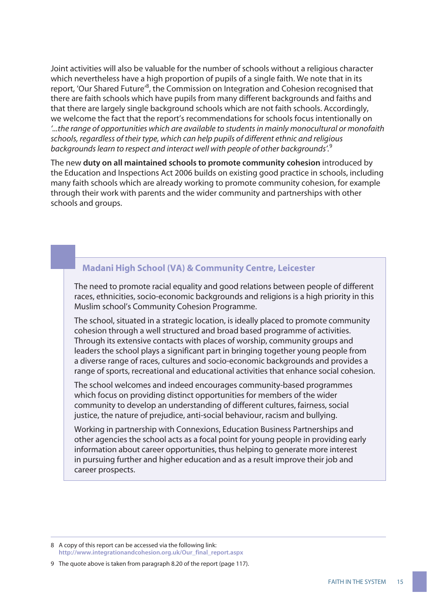Joint activities will also be valuable for the number of schools without a religious character which nevertheless have a high proportion of pupils of a single faith. We note that in its report, 'Our Shared Future'<sup>8</sup>, the Commission on Integration and Cohesion recognised that there are faith schools which have pupils from many different backgrounds and faiths and that there are largely single background schools which are not faith schools. Accordingly, we welcome the fact that the report's recommendations for schools focus intentionally on *'...the range of opportunities which are available to students in mainly monocultural or monofaith schools, regardless of their type, which can help pupils of different ethnic and religious backgrounds learn to respect and interact well with people of other backgrounds'.*<sup>9</sup>

The new **duty on all maintained schools to promote community cohesion** introduced by the Education and Inspections Act 2006 builds on existing good practice in schools, including many faith schools which are already working to promote community cohesion, for example through their work with parents and the wider community and partnerships with other schools and groups.

#### **Madani High School (VA) & Community Centre, Leicester**

The need to promote racial equality and good relations between people of different races, ethnicities, socio-economic backgrounds and religions is a high priority in this Muslim school's Community Cohesion Programme.

The school, situated in a strategic location, is ideally placed to promote community cohesion through a well structured and broad based programme of activities. Through its extensive contacts with places of worship, community groups and leaders the school plays a significant part in bringing together young people from a diverse range of races, cultures and socio-economic backgrounds and provides a range of sports, recreational and educational activities that enhance social cohesion.

The school welcomes and indeed encourages community-based programmes which focus on providing distinct opportunities for members of the wider community to develop an understanding of different cultures, fairness, social justice, the nature of prejudice, anti-social behaviour, racism and bullying.

Working in partnership with Connexions, Education Business Partnerships and other agencies the school acts as a focal point for young people in providing early information about career opportunities, thus helping to generate more interest in pursuing further and higher education and as a result improve their job and career prospects.

<sup>8</sup> A copy of this report can be accessed via the following link: **http://www.integrationandcohesion.org.uk/Our\_final\_report.aspx**

<sup>9</sup> The quote above is taken from paragraph 8.20 of the report (page 117).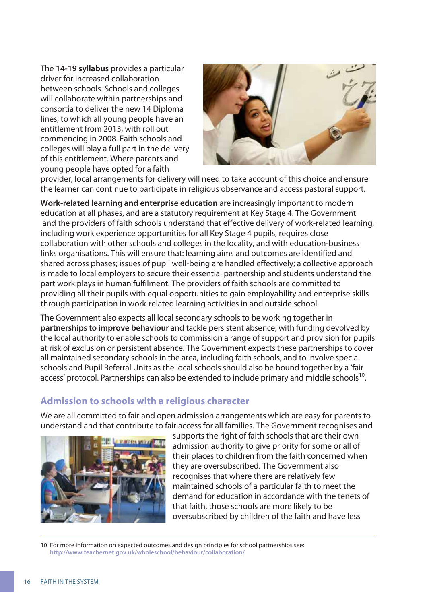The **14-19 syllabus** provides a particular driver for increased collaboration between schools. Schools and colleges will collaborate within partnerships and consortia to deliver the new 14 Diploma lines, to which all young people have an entitlement from 2013, with roll out commencing in 2008. Faith schools and colleges will play a full part in the delivery of this entitlement. Where parents and young people have opted for a faith



provider, local arrangements for delivery will need to take account of this choice and ensure the learner can continue to participate in religious observance and access pastoral support.

**Work-related learning and enterprise education** are increasingly important to modern education at all phases, and are a statutory requirement at Key Stage 4. The Government and the providers of faith schools understand that effective delivery of work-related learning, including work experience opportunities for all Key Stage 4 pupils, requires close collaboration with other schools and colleges in the locality, and with education-business links organisations. This will ensure that: learning aims and outcomes are identified and shared across phases; issues of pupil well-being are handled effectively; a collective approach is made to local employers to secure their essential partnership and students understand the part work plays in human fulfilment. The providers of faith schools are committed to providing all their pupils with equal opportunities to gain employability and enterprise skills through participation in work-related learning activities in and outside school.

The Government also expects all local secondary schools to be working together in **partnerships to improve behaviour** and tackle persistent absence, with funding devolved by the local authority to enable schools to commission a range of support and provision for pupils at risk of exclusion or persistent absence. The Government expects these partnerships to cover all maintained secondary schools in the area, including faith schools, and to involve special schools and Pupil Referral Units as the local schools should also be bound together by a 'fair access' protocol. Partnerships can also be extended to include primary and middle schools<sup>10</sup>.

## **Admission to schools with a religious character**

We are all committed to fair and open admission arrangements which are easy for parents to understand and that contribute to fair access for all families. The Government recognises and



supports the right of faith schools that are their own admission authority to give priority for some or all of their places to children from the faith concerned when they are oversubscribed. The Government also recognises that where there are relatively few maintained schools of a particular faith to meet the demand for education in accordance with the tenets of that faith, those schools are more likely to be oversubscribed by children of the faith and have less

10 For more information on expected outcomes and design principles for school partnerships see: **http://www.teachernet.gov.uk/wholeschool/behaviour/collaboration/**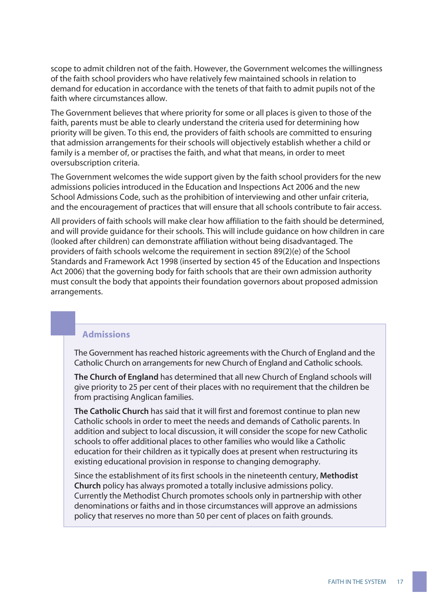scope to admit children not of the faith. However, the Government welcomes the willingness of the faith school providers who have relatively few maintained schools in relation to demand for education in accordance with the tenets of that faith to admit pupils not of the faith where circumstances allow.

The Government believes that where priority for some or all places is given to those of the faith, parents must be able to clearly understand the criteria used for determining how priority will be given. To this end, the providers of faith schools are committed to ensuring that admission arrangements for their schools will objectively establish whether a child or family is a member of, or practises the faith, and what that means, in order to meet oversubscription criteria.

The Government welcomes the wide support given by the faith school providers for the new admissions policies introduced in the Education and Inspections Act 2006 and the new School Admissions Code, such as the prohibition of interviewing and other unfair criteria, and the encouragement of practices that will ensure that all schools contribute to fair access.

All providers of faith schools will make clear how affiliation to the faith should be determined, and will provide guidance for their schools. This will include guidance on how children in care (looked after children) can demonstrate affiliation without being disadvantaged. The providers of faith schools welcome the requirement in section 89(2)(e) of the School Standards and Framework Act 1998 (inserted by section 45 of the Education and Inspections Act 2006) that the governing body for faith schools that are their own admission authority must consult the body that appoints their foundation governors about proposed admission arrangements.

#### **Admissions**

The Government has reached historic agreements with the Church of England and the Catholic Church on arrangements for new Church of England and Catholic schools.

**The Church of England** has determined that all new Church of England schools will give priority to 25 per cent of their places with no requirement that the children be from practising Anglican families.

**The Catholic Church** has said that it will first and foremost continue to plan new Catholic schools in order to meet the needs and demands of Catholic parents. In addition and subject to local discussion, it will consider the scope for new Catholic schools to offer additional places to other families who would like a Catholic education for their children as it typically does at present when restructuring its existing educational provision in response to changing demography.

Since the establishment of its first schools in the nineteenth century, **Methodist Church** policy has always promoted a totally inclusive admissions policy. Currently the Methodist Church promotes schools only in partnership with other denominations or faiths and in those circumstances will approve an admissions policy that reserves no more than 50 per cent of places on faith grounds.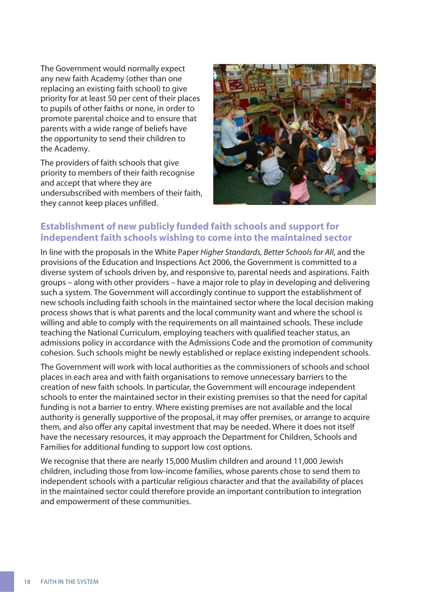The Government would normally expect any new faith Academy (other than one replacing an existing faith school) to give priority for at least 50 per cent of their places to pupils of other faiths or none, in order to promote parental choice and to ensure that parents with a wide range of beliefs have the opportunity to send their children to the Academy.

The providers of faith schools that give priority to members of their faith recognise and accept that where they are undersubscribed with members of their faith, they cannot keep places unfilled.



## **Establishment of new publicly funded faith schools and support for independent faith schools wishing to come into the maintained sector**

In line with the proposals in the White Paper *Higher Standards, Better Schools for All*, and the provisions of the Education and Inspections Act 2006, the Government is committed to a diverse system of schools driven by, and responsive to, parental needs and aspirations. Faith groups – along with other providers – have a major role to play in developing and delivering such a system. The Government will accordingly continue to support the establishment of new schools including faith schools in the maintained sector where the local decision making process shows that is what parents and the local community want and where the school is willing and able to comply with the requirements on all maintained schools. These include teaching the National Curriculum, employing teachers with qualified teacher status, an admissions policy in accordance with the Admissions Code and the promotion of community cohesion. Such schools might be newly established or replace existing independent schools.

The Government will work with local authorities as the commissioners of schools and school places in each area and with faith organisations to remove unnecessary barriers to the creation of new faith schools. In particular, the Government will encourage independent schools to enter the maintained sector in their existing premises so that the need for capital funding is not a barrier to entry. Where existing premises are not available and the local authority is generally supportive of the proposal, it may offer premises, or arrange to acquire them, and also offer any capital investment that may be needed. Where it does not itself have the necessary resources, it may approach the Department for Children, Schools and Families for additional funding to support low cost options.

We recognise that there are nearly 15,000 Muslim children and around 11,000 Jewish children, including those from low-income families, whose parents chose to send them to independent schools with a particular religious character and that the availability of places in the maintained sector could therefore provide an important contribution to integration and empowerment of these communities.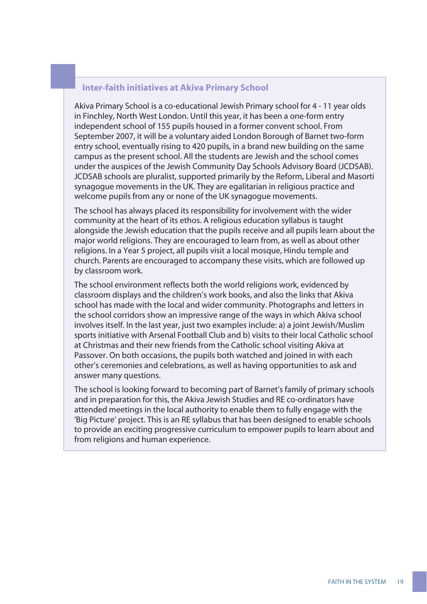## **Inter-faith initiatives at Akiva Primary School**

Akiva Primary School is a co-educational Jewish Primary school for 4 - 11 year olds in Finchley, North West London. Until this year, it has been a one-form entry independent school of 155 pupils housed in a former convent school. From September 2007, it will be a voluntary aided London Borough of Barnet two-form entry school, eventually rising to 420 pupils, in a brand new building on the same campus as the present school. All the students are Jewish and the school comes under the auspices of the Jewish Community Day Schools Advisory Board (JCDSAB). JCDSAB schools are pluralist, supported primarily by the Reform, Liberal and Masorti synagogue movements in the UK. They are egalitarian in religious practice and welcome pupils from any or none of the UK synagogue movements.

The school has always placed its responsibility for involvement with the wider community at the heart of its ethos. A religious education syllabus is taught alongside the Jewish education that the pupils receive and all pupils learn about the major world religions. They are encouraged to learn from, as well as about other religions. In a Year 5 project, all pupils visit a local mosque, Hindu temple and church. Parents are encouraged to accompany these visits, which are followed up by classroom work.

The school environment reflects both the world religions work, evidenced by classroom displays and the children's work books, and also the links that Akiva school has made with the local and wider community. Photographs and letters in the school corridors show an impressive range of the ways in which Akiva school involves itself. In the last year, just two examples include: a) a joint Jewish/Muslim sports initiative with Arsenal Football Club and b) visits to their local Catholic school at Christmas and their new friends from the Catholic school visiting Akiva at Passover. On both occasions, the pupils both watched and joined in with each other's ceremonies and celebrations, as well as having opportunities to ask and answer many questions.

The school is looking forward to becoming part of Barnet's family of primary schools and in preparation for this, the Akiva Jewish Studies and RE co-ordinators have attended meetings in the local authority to enable them to fully engage with the 'Big Picture' project. This is an RE syllabus that has been designed to enable schools to provide an exciting progressive curriculum to empower pupils to learn about and from religions and human experience.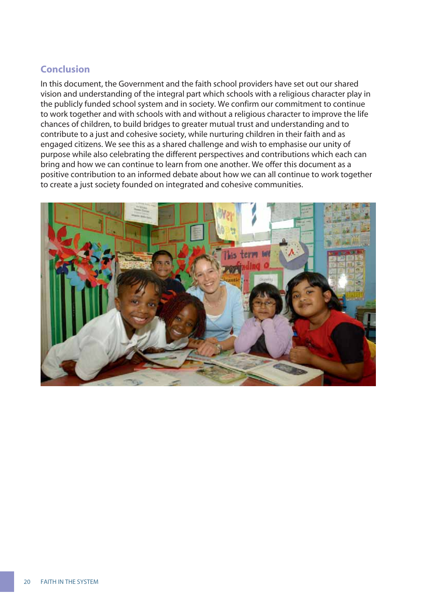# **Conclusion**

In this document, the Government and the faith school providers have set out our shared vision and understanding of the integral part which schools with a religious character play in the publicly funded school system and in society. We confirm our commitment to continue to work together and with schools with and without a religious character to improve the life chances of children, to build bridges to greater mutual trust and understanding and to contribute to a just and cohesive society, while nurturing children in their faith and as engaged citizens. We see this as a shared challenge and wish to emphasise our unity of purpose while also celebrating the different perspectives and contributions which each can bring and how we can continue to learn from one another. We offer this document as a positive contribution to an informed debate about how we can all continue to work together to create a just society founded on integrated and cohesive communities.

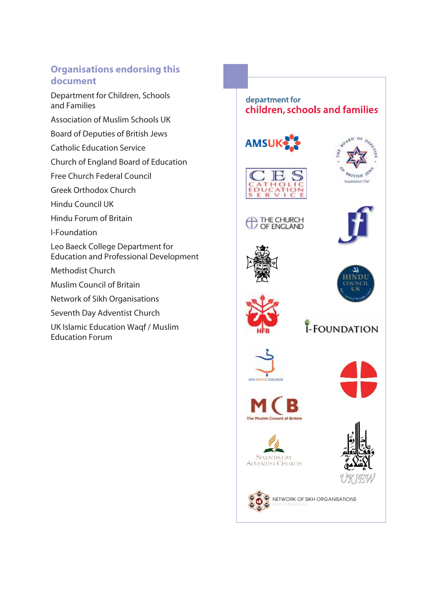# **Organisations endorsing this document**

Department for Children, Schools and Families

- Association of Muslim Schools UK
- Board of Deputies of British Jews
- Catholic Education Service
- Church of England Board of Education
- Free Church Federal Council
- Greek Orthodox Church
- Hindu Council UK
- Hindu Forum of Britain
- I-Foundation
- Leo Baeck College Department for Education and Professional Development
- Methodist Church
- Muslim Council of Britain
- Network of Sikh Organisations
- Seventh Day Adventist Church
- UK Islamic Education Waqf / Muslim Education Forum

#### department for children, schools and families















**FOUNDATION** 













**ADVENTIST CHURCH** 

NETWORK OF SIKH ORGANISATIONS